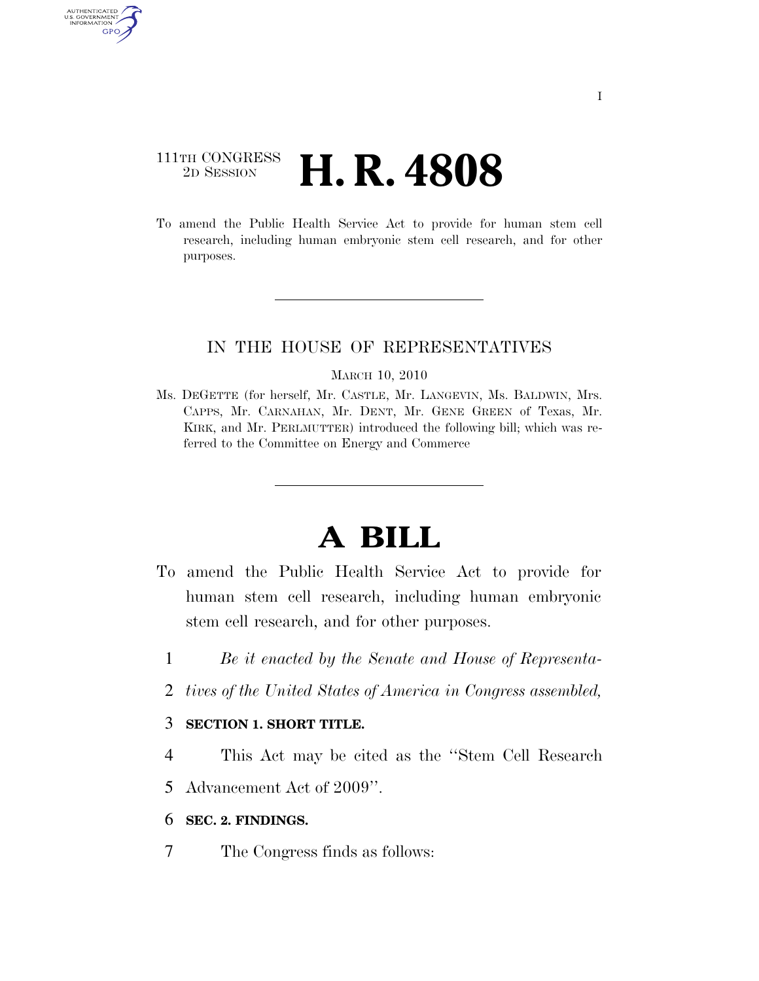## 111TH CONGRESS <sup>2D SESSION</sup> **H. R. 4808**

AUTHENTICATED U.S. GOVERNMENT GPO

> To amend the Public Health Service Act to provide for human stem cell research, including human embryonic stem cell research, and for other purposes.

### IN THE HOUSE OF REPRESENTATIVES

#### MARCH 10, 2010

Ms. DEGETTE (for herself, Mr. CASTLE, Mr. LANGEVIN, Ms. BALDWIN, Mrs. CAPPS, Mr. CARNAHAN, Mr. DENT, Mr. GENE GREEN of Texas, Mr. KIRK, and Mr. PERLMUTTER) introduced the following bill; which was referred to the Committee on Energy and Commerce

# **A BILL**

- To amend the Public Health Service Act to provide for human stem cell research, including human embryonic stem cell research, and for other purposes.
	- 1 *Be it enacted by the Senate and House of Representa-*
	- 2 *tives of the United States of America in Congress assembled,*

### 3 **SECTION 1. SHORT TITLE.**

- 4 This Act may be cited as the ''Stem Cell Research
- 5 Advancement Act of 2009''.

### 6 **SEC. 2. FINDINGS.**

7 The Congress finds as follows: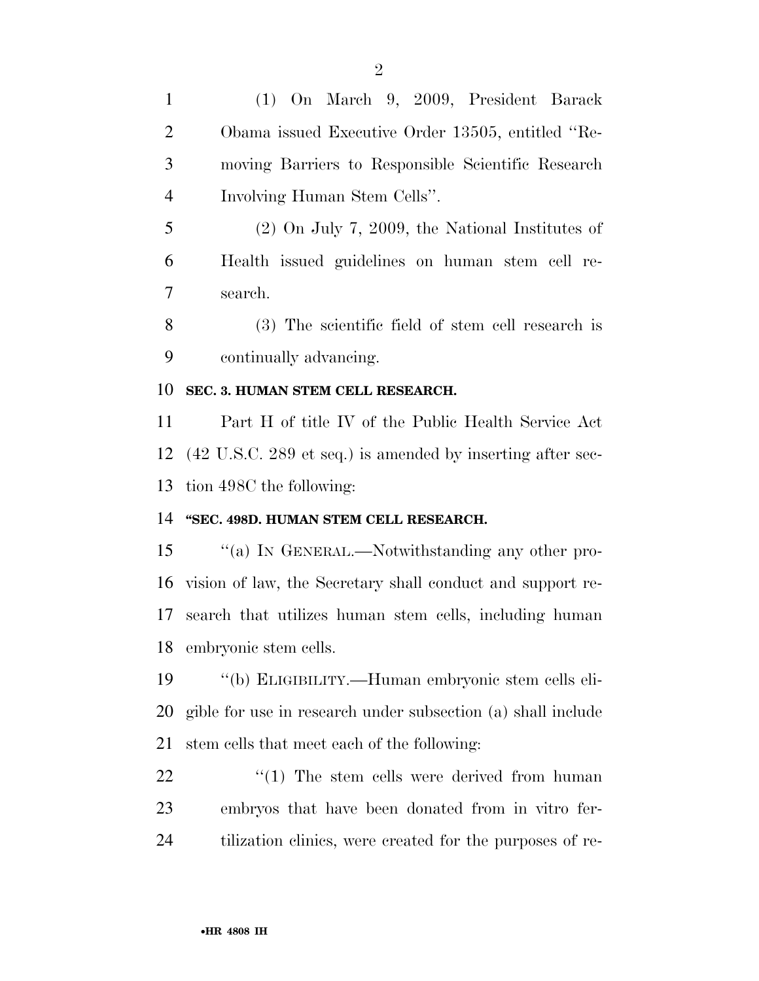(1) On March 9, 2009, President Barack Obama issued Executive Order 13505, entitled ''Re- moving Barriers to Responsible Scientific Research Involving Human Stem Cells''. (2) On July 7, 2009, the National Institutes of Health issued guidelines on human stem cell re- search. (3) The scientific field of stem cell research is continually advancing. **SEC. 3. HUMAN STEM CELL RESEARCH.**  Part H of title IV of the Public Health Service Act (42 U.S.C. 289 et seq.) is amended by inserting after sec- tion 498C the following: **''SEC. 498D. HUMAN STEM CELL RESEARCH.**  15 "(a) In GENERAL.—Notwithstanding any other pro- vision of law, the Secretary shall conduct and support re- search that utilizes human stem cells, including human embryonic stem cells. ''(b) ELIGIBILITY.—Human embryonic stem cells eli- gible for use in research under subsection (a) shall include stem cells that meet each of the following:  $\frac{1}{2}$  (1) The stem cells were derived from human

tilization clinics, were created for the purposes of re-

embryos that have been donated from in vitro fer-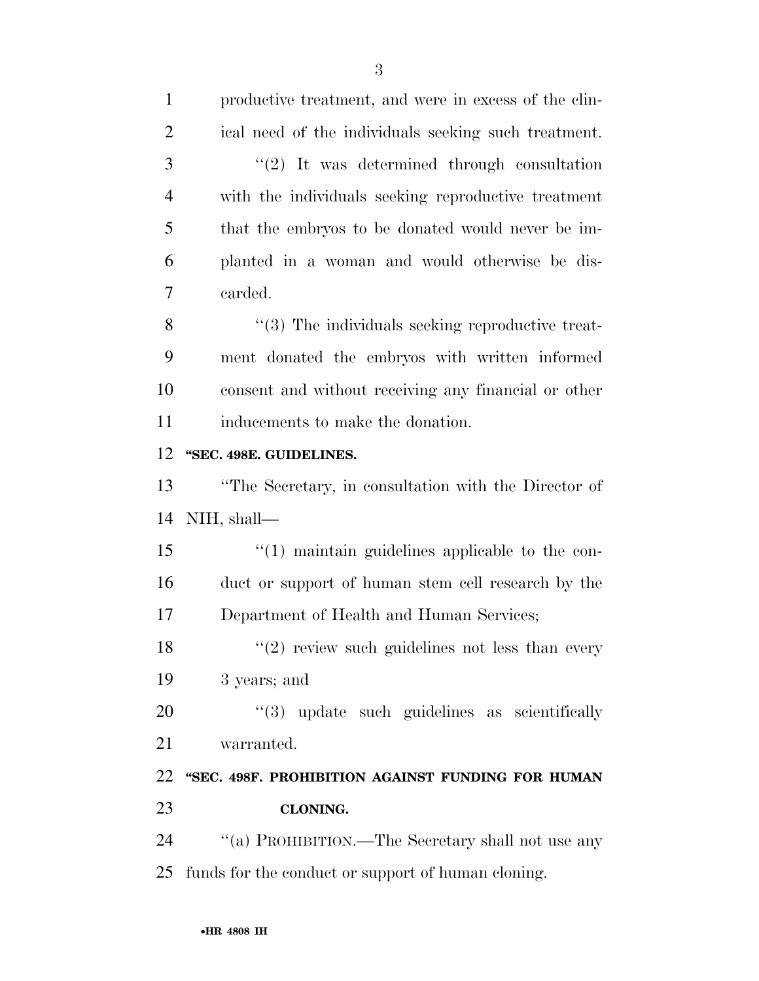| $\mathbf{1}$   | productive treatment, and were in excess of the clin-   |
|----------------|---------------------------------------------------------|
| $\overline{2}$ | ical need of the individuals seeking such treatment.    |
| 3              | $"(2)$ It was determined through consultation           |
| $\overline{4}$ | with the individuals seeking reproductive treatment     |
| 5              | that the embryos to be donated would never be im-       |
| 6              | planted in a woman and would otherwise be dis-          |
| 7              | carded.                                                 |
| 8              | $\cdot$ (3) The individuals seeking reproductive treat- |
| 9              | ment donated the embryos with written informed          |
| 10             | consent and without receiving any financial or other    |
| 11             | inducements to make the donation.                       |
| 12             | "SEC. 498E. GUIDELINES.                                 |
| 13             | "The Secretary, in consultation with the Director of    |
| 14             | NIH, shall—                                             |
| 15             | $\lq(1)$ maintain guidelines applicable to the con-     |
| 16             | duct or support of human stem cell research by the      |
| 17             | Department of Health and Human Services;                |
| 18             | $(2)$ review such guidelines not less than every        |
| 19             | 3 years; and                                            |
| 20             | "(3) update such guidelines as scientifically           |
| 21             | warranted.                                              |
| 22             | "SEC. 498F. PROHIBITION AGAINST FUNDING FOR HUMAN       |
| 23             | CLONING.                                                |
| 24             | "(a) PROHIBITION.—The Secretary shall not use any       |
| 25             | funds for the conduct or support of human cloning.      |